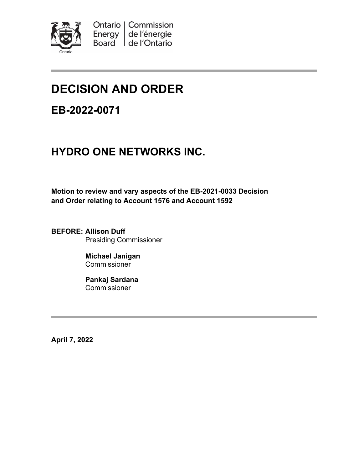

# **DECISION AND ORDER**

# **EB-2022-0071**

# **HYDRO ONE NETWORKS INC.**

**Motion to review and vary aspects of the EB-2021-0033 Decision and Order relating to Account 1576 and Account 1592**

**BEFORE: Allison Duff** Presiding Commissioner

> **Michael Janigan** Commissioner

**Pankaj Sardana** Commissioner

**April 7, 2022**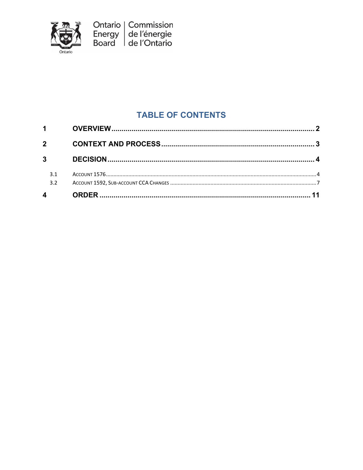

### **TABLE OF CONTENTS**

| $\overline{4}$         |  |
|------------------------|--|
| 3.1<br>3.2             |  |
| $3^{\circ}$            |  |
| $\overline{2}$         |  |
| $1 \quad \blacksquare$ |  |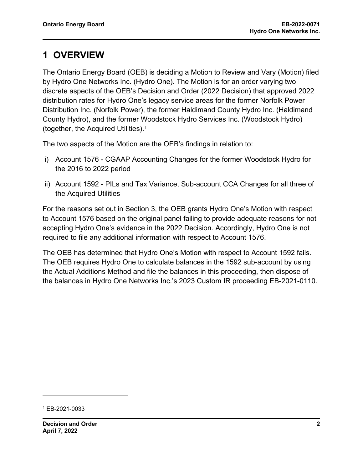# <span id="page-2-0"></span>**1 OVERVIEW**

The Ontario Energy Board (OEB) is deciding a Motion to Review and Vary (Motion) filed by Hydro One Networks Inc. (Hydro One). The Motion is for an order varying two discrete aspects of the OEB's Decision and Order (2022 Decision) that approved 2022 distribution rates for Hydro One's legacy service areas for the former Norfolk Power Distribution Inc. (Norfolk Power), the former Haldimand County Hydro Inc. (Haldimand County Hydro), and the former Woodstock Hydro Services Inc. (Woodstock Hydro) (together, the Acquired Utilities).[1](#page-2-1)

The two aspects of the Motion are the OEB's findings in relation to:

- i) Account 1576 CGAAP Accounting Changes for the former Woodstock Hydro for the 2016 to 2022 period
- ii) Account 1592 PILs and Tax Variance, Sub-account CCA Changes for all three of the Acquired Utilities

For the reasons set out in Section 3, the OEB grants Hydro One's Motion with respect to Account 1576 based on the original panel failing to provide adequate reasons for not accepting Hydro One's evidence in the 2022 Decision. Accordingly, Hydro One is not required to file any additional information with respect to Account 1576.

The OEB has determined that Hydro One's Motion with respect to Account 1592 fails. The OEB requires Hydro One to calculate balances in the 1592 sub-account by using the Actual Additions Method and file the balances in this proceeding, then dispose of the balances in Hydro One Networks Inc.'s 2023 Custom IR proceeding EB-2021-0110.

<span id="page-2-1"></span><sup>1</sup> EB-2021-0033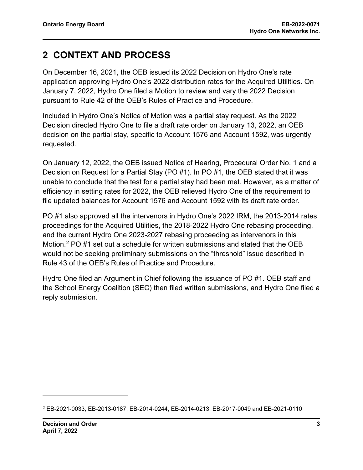### <span id="page-3-0"></span>**2 CONTEXT AND PROCESS**

On December 16, 2021, the OEB issued its 2022 Decision on Hydro One's rate application approving Hydro One's 2022 distribution rates for the Acquired Utilities. On January 7, 2022, Hydro One filed a Motion to review and vary the 2022 Decision pursuant to Rule 42 of the OEB's Rules of Practice and Procedure.

Included in Hydro One's Notice of Motion was a partial stay request. As the 2022 Decision directed Hydro One to file a draft rate order on January 13, 2022, an OEB decision on the partial stay, specific to Account 1576 and Account 1592, was urgently requested.

On January 12, 2022, the OEB issued Notice of Hearing, Procedural Order No. 1 and a Decision on Request for a Partial Stay (PO #1). In PO #1, the OEB stated that it was unable to conclude that the test for a partial stay had been met. However, as a matter of efficiency in setting rates for 2022, the OEB relieved Hydro One of the requirement to file updated balances for Account 1576 and Account 1592 with its draft rate order.

PO #1 also approved all the intervenors in Hydro One's 2022 IRM, the 2013-2014 rates proceedings for the Acquired Utilities, the 2018-2022 Hydro One rebasing proceeding, and the current Hydro One 2023-2027 rebasing proceeding as intervenors in this Motion.[2](#page-3-1) PO #1 set out a schedule for written submissions and stated that the OEB would not be seeking preliminary submissions on the "threshold" issue described in Rule 43 of the OEB's Rules of Practice and Procedure.

Hydro One filed an Argument in Chief following the issuance of PO #1. OEB staff and the School Energy Coalition (SEC) then filed written submissions, and Hydro One filed a reply submission.

<span id="page-3-1"></span><sup>2</sup> EB-2021-0033, EB-2013-0187, EB-2014-0244, EB-2014-0213, EB-2017-0049 and EB-2021-0110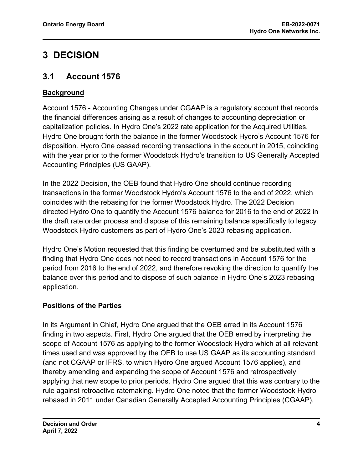# <span id="page-4-0"></span>**3 DECISION**

#### <span id="page-4-1"></span>**3.1 Account 1576**

#### **Background**

Account 1576 - Accounting Changes under CGAAP is a regulatory account that records the financial differences arising as a result of changes to accounting depreciation or capitalization policies. In Hydro One's 2022 rate application for the Acquired Utilities, Hydro One brought forth the balance in the former Woodstock Hydro's Account 1576 for disposition. Hydro One ceased recording transactions in the account in 2015, coinciding with the year prior to the former Woodstock Hydro's transition to US Generally Accepted Accounting Principles (US GAAP).

In the 2022 Decision, the OEB found that Hydro One should continue recording transactions in the former Woodstock Hydro's Account 1576 to the end of 2022, which coincides with the rebasing for the former Woodstock Hydro. The 2022 Decision directed Hydro One to quantify the Account 1576 balance for 2016 to the end of 2022 in the draft rate order process and dispose of this remaining balance specifically to legacy Woodstock Hydro customers as part of Hydro One's 2023 rebasing application.

Hydro One's Motion requested that this finding be overturned and be substituted with a finding that Hydro One does not need to record transactions in Account 1576 for the period from 2016 to the end of 2022, and therefore revoking the direction to quantify the balance over this period and to dispose of such balance in Hydro One's 2023 rebasing application.

#### **Positions of the Parties**

In its Argument in Chief, Hydro One argued that the OEB erred in its Account 1576 finding in two aspects. First, Hydro One argued that the OEB erred by interpreting the scope of Account 1576 as applying to the former Woodstock Hydro which at all relevant times used and was approved by the OEB to use US GAAP as its accounting standard (and not CGAAP or IFRS, to which Hydro One argued Account 1576 applies), and thereby amending and expanding the scope of Account 1576 and retrospectively applying that new scope to prior periods. Hydro One argued that this was contrary to the rule against retroactive ratemaking. Hydro One noted that the former Woodstock Hydro rebased in 2011 under Canadian Generally Accepted Accounting Principles (CGAAP),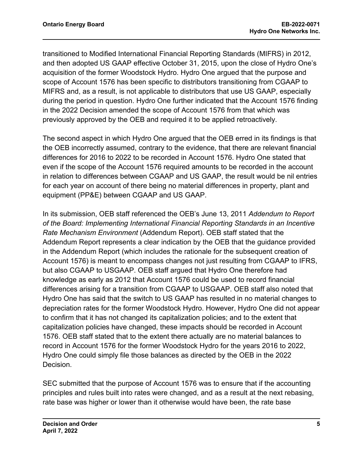transitioned to Modified International Financial Reporting Standards (MIFRS) in 2012, and then adopted US GAAP effective October 31, 2015, upon the close of Hydro One's acquisition of the former Woodstock Hydro. Hydro One argued that the purpose and scope of Account 1576 has been specific to distributors transitioning from CGAAP to MIFRS and, as a result, is not applicable to distributors that use US GAAP, especially during the period in question. Hydro One further indicated that the Account 1576 finding in the 2022 Decision amended the scope of Account 1576 from that which was previously approved by the OEB and required it to be applied retroactively.

The second aspect in which Hydro One argued that the OEB erred in its findings is that the OEB incorrectly assumed, contrary to the evidence, that there are relevant financial differences for 2016 to 2022 to be recorded in Account 1576. Hydro One stated that even if the scope of the Account 1576 required amounts to be recorded in the account in relation to differences between CGAAP and US GAAP, the result would be nil entries for each year on account of there being no material differences in property, plant and equipment (PP&E) between CGAAP and US GAAP.

In its submission, OEB staff referenced the OEB's June 13, 2011 *Addendum to Report of the Board: Implementing International Financial Reporting Standards in an Incentive Rate Mechanism Environment* (Addendum Report). OEB staff stated that the Addendum Report represents a clear indication by the OEB that the guidance provided in the Addendum Report (which includes the rationale for the subsequent creation of Account 1576) is meant to encompass changes not just resulting from CGAAP to IFRS, but also CGAAP to USGAAP. OEB staff argued that Hydro One therefore had knowledge as early as 2012 that Account 1576 could be used to record financial differences arising for a transition from CGAAP to USGAAP. OEB staff also noted that Hydro One has said that the switch to US GAAP has resulted in no material changes to depreciation rates for the former Woodstock Hydro. However, Hydro One did not appear to confirm that it has not changed its capitalization policies; and to the extent that capitalization policies have changed, these impacts should be recorded in Account 1576. OEB staff stated that to the extent there actually are no material balances to record in Account 1576 for the former Woodstock Hydro for the years 2016 to 2022, Hydro One could simply file those balances as directed by the OEB in the 2022 Decision.

SEC submitted that the purpose of Account 1576 was to ensure that if the accounting principles and rules built into rates were changed, and as a result at the next rebasing, rate base was higher or lower than it otherwise would have been, the rate base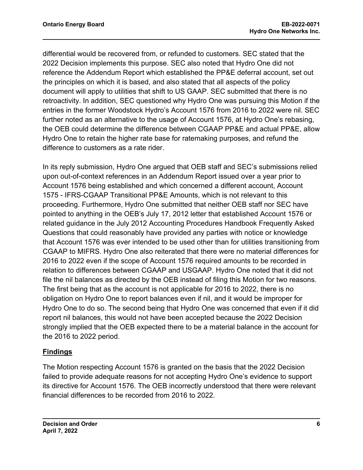differential would be recovered from, or refunded to customers. SEC stated that the 2022 Decision implements this purpose. SEC also noted that Hydro One did not reference the Addendum Report which established the PP&E deferral account, set out the principles on which it is based, and also stated that all aspects of the policy document will apply to utilities that shift to US GAAP. SEC submitted that there is no retroactivity. In addition, SEC questioned why Hydro One was pursuing this Motion if the entries in the former Woodstock Hydro's Account 1576 from 2016 to 2022 were nil. SEC further noted as an alternative to the usage of Account 1576, at Hydro One's rebasing, the OEB could determine the difference between CGAAP PP&E and actual PP&E, allow Hydro One to retain the higher rate base for ratemaking purposes, and refund the difference to customers as a rate rider.

In its reply submission, Hydro One argued that OEB staff and SEC's submissions relied upon out-of-context references in an Addendum Report issued over a year prior to Account 1576 being established and which concerned a different account, Account 1575 - IFRS-CGAAP Transitional PP&E Amounts, which is not relevant to this proceeding. Furthermore, Hydro One submitted that neither OEB staff nor SEC have pointed to anything in the OEB's July 17, 2012 letter that established Account 1576 or related guidance in the July 2012 Accounting Procedures Handbook Frequently Asked Questions that could reasonably have provided any parties with notice or knowledge that Account 1576 was ever intended to be used other than for utilities transitioning from CGAAP to MIFRS. Hydro One also reiterated that there were no material differences for 2016 to 2022 even if the scope of Account 1576 required amounts to be recorded in relation to differences between CGAAP and USGAAP. Hydro One noted that it did not file the nil balances as directed by the OEB instead of filing this Motion for two reasons. The first being that as the account is not applicable for 2016 to 2022, there is no obligation on Hydro One to report balances even if nil, and it would be improper for Hydro One to do so. The second being that Hydro One was concerned that even if it did report nil balances, this would not have been accepted because the 2022 Decision strongly implied that the OEB expected there to be a material balance in the account for the 2016 to 2022 period.

#### **Findings**

The Motion respecting Account 1576 is granted on the basis that the 2022 Decision failed to provide adequate reasons for not accepting Hydro One's evidence to support its directive for Account 1576. The OEB incorrectly understood that there were relevant financial differences to be recorded from 2016 to 2022.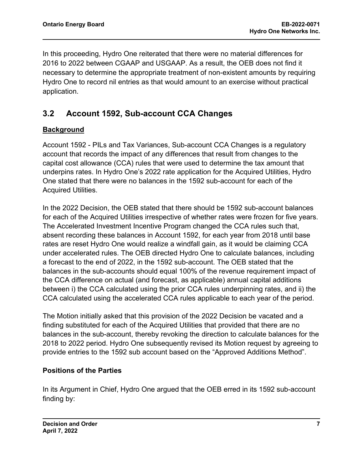In this proceeding, Hydro One reiterated that there were no material differences for 2016 to 2022 between CGAAP and USGAAP. As a result, the OEB does not find it necessary to determine the appropriate treatment of non-existent amounts by requiring Hydro One to record nil entries as that would amount to an exercise without practical application.

### <span id="page-7-0"></span>**3.2 Account 1592, Sub-account CCA Changes**

#### **Background**

Account 1592 - PILs and Tax Variances, Sub-account CCA Changes is a regulatory account that records the impact of any differences that result from changes to the capital cost allowance (CCA) rules that were used to determine the tax amount that underpins rates. In Hydro One's 2022 rate application for the Acquired Utilities, Hydro One stated that there were no balances in the 1592 sub-account for each of the Acquired Utilities.

In the 2022 Decision, the OEB stated that there should be 1592 sub-account balances for each of the Acquired Utilities irrespective of whether rates were frozen for five years. The Accelerated Investment Incentive Program changed the CCA rules such that, absent recording these balances in Account 1592, for each year from 2018 until base rates are reset Hydro One would realize a windfall gain, as it would be claiming CCA under accelerated rules. The OEB directed Hydro One to calculate balances, including a forecast to the end of 2022, in the 1592 sub-account. The OEB stated that the balances in the sub-accounts should equal 100% of the revenue requirement impact of the CCA difference on actual (and forecast, as applicable) annual capital additions between i) the CCA calculated using the prior CCA rules underpinning rates, and ii) the CCA calculated using the accelerated CCA rules applicable to each year of the period.

The Motion initially asked that this provision of the 2022 Decision be vacated and a finding substituted for each of the Acquired Utilities that provided that there are no balances in the sub-account, thereby revoking the direction to calculate balances for the 2018 to 2022 period. Hydro One subsequently revised its Motion request by agreeing to provide entries to the 1592 sub account based on the "Approved Additions Method".

#### **Positions of the Parties**

In its Argument in Chief, Hydro One argued that the OEB erred in its 1592 sub-account finding by: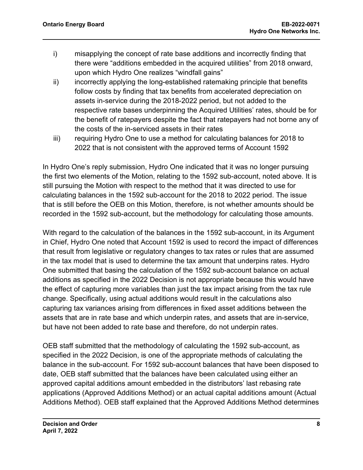- i) misapplying the concept of rate base additions and incorrectly finding that there were "additions embedded in the acquired utilities" from 2018 onward, upon which Hydro One realizes "windfall gains"
- ii) incorrectly applying the long-established ratemaking principle that benefits follow costs by finding that tax benefits from accelerated depreciation on assets in-service during the 2018-2022 period, but not added to the respective rate bases underpinning the Acquired Utilities' rates, should be for the benefit of ratepayers despite the fact that ratepayers had not borne any of the costs of the in-serviced assets in their rates
- iii) requiring Hydro One to use a method for calculating balances for 2018 to 2022 that is not consistent with the approved terms of Account 1592

In Hydro One's reply submission, Hydro One indicated that it was no longer pursuing the first two elements of the Motion, relating to the 1592 sub-account, noted above. It is still pursuing the Motion with respect to the method that it was directed to use for calculating balances in the 1592 sub-account for the 2018 to 2022 period. The issue that is still before the OEB on this Motion, therefore, is not whether amounts should be recorded in the 1592 sub-account, but the methodology for calculating those amounts.

With regard to the calculation of the balances in the 1592 sub-account, in its Argument in Chief, Hydro One noted that Account 1592 is used to record the impact of differences that result from legislative or regulatory changes to tax rates or rules that are assumed in the tax model that is used to determine the tax amount that underpins rates. Hydro One submitted that basing the calculation of the 1592 sub-account balance on actual additions as specified in the 2022 Decision is not appropriate because this would have the effect of capturing more variables than just the tax impact arising from the tax rule change. Specifically, using actual additions would result in the calculations also capturing tax variances arising from differences in fixed asset additions between the assets that are in rate base and which underpin rates, and assets that are in-service, but have not been added to rate base and therefore, do not underpin rates.

OEB staff submitted that the methodology of calculating the 1592 sub-account, as specified in the 2022 Decision, is one of the appropriate methods of calculating the balance in the sub-account. For 1592 sub-account balances that have been disposed to date, OEB staff submitted that the balances have been calculated using either an approved capital additions amount embedded in the distributors' last rebasing rate applications (Approved Additions Method) or an actual capital additions amount (Actual Additions Method). OEB staff explained that the Approved Additions Method determines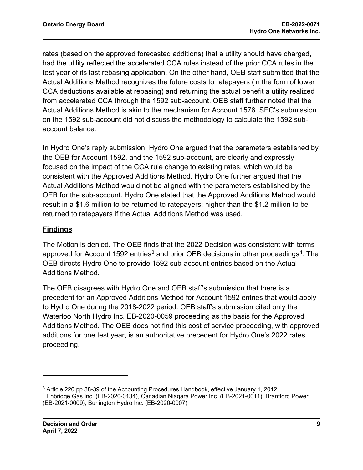rates (based on the approved forecasted additions) that a utility should have charged, had the utility reflected the accelerated CCA rules instead of the prior CCA rules in the test year of its last rebasing application. On the other hand, OEB staff submitted that the Actual Additions Method recognizes the future costs to ratepayers (in the form of lower CCA deductions available at rebasing) and returning the actual benefit a utility realized from accelerated CCA through the 1592 sub-account. OEB staff further noted that the Actual Additions Method is akin to the mechanism for Account 1576. SEC's submission on the 1592 sub-account did not discuss the methodology to calculate the 1592 subaccount balance.

In Hydro One's reply submission, Hydro One argued that the parameters established by the OEB for Account 1592, and the 1592 sub-account, are clearly and expressly focused on the impact of the CCA rule change to existing rates, which would be consistent with the Approved Additions Method. Hydro One further argued that the Actual Additions Method would not be aligned with the parameters established by the OEB for the sub-account. Hydro One stated that the Approved Additions Method would result in a \$1.6 million to be returned to ratepayers; higher than the \$1.2 million to be returned to ratepayers if the Actual Additions Method was used.

#### **Findings**

The Motion is denied. The OEB finds that the 2022 Decision was consistent with terms approved for Account 1592 entries<sup>[3](#page-9-0)</sup> and prior OEB decisions in other proceedings<sup>[4](#page-9-1)</sup>. The OEB directs Hydro One to provide 1592 sub-account entries based on the Actual Additions Method.

The OEB disagrees with Hydro One and OEB staff's submission that there is a precedent for an Approved Additions Method for Account 1592 entries that would apply to Hydro One during the 2018-2022 period. OEB staff's submission cited only the Waterloo North Hydro Inc. EB-2020-0059 proceeding as the basis for the Approved Additions Method. The OEB does not find this cost of service proceeding, with approved additions for one test year, is an authoritative precedent for Hydro One's 2022 rates proceeding.

<span id="page-9-1"></span><span id="page-9-0"></span><sup>3</sup> Article 220 pp.38-39 of the Accounting Procedures Handbook, effective January 1, 2012 <sup>4</sup> Enbridge Gas Inc. (EB-2020-0134), Canadian Niagara Power Inc. (EB-2021-0011), Brantford Power (EB-2021-0009), Burlington Hydro Inc. (EB-2020-0007)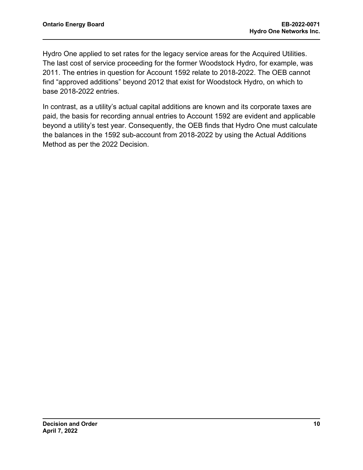Hydro One applied to set rates for the legacy service areas for the Acquired Utilities. The last cost of service proceeding for the former Woodstock Hydro, for example, was 2011. The entries in question for Account 1592 relate to 2018-2022. The OEB cannot find "approved additions" beyond 2012 that exist for Woodstock Hydro, on which to base 2018-2022 entries.

In contrast, as a utility's actual capital additions are known and its corporate taxes are paid, the basis for recording annual entries to Account 1592 are evident and applicable beyond a utility's test year. Consequently, the OEB finds that Hydro One must calculate the balances in the 1592 sub-account from 2018-2022 by using the Actual Additions Method as per the 2022 Decision.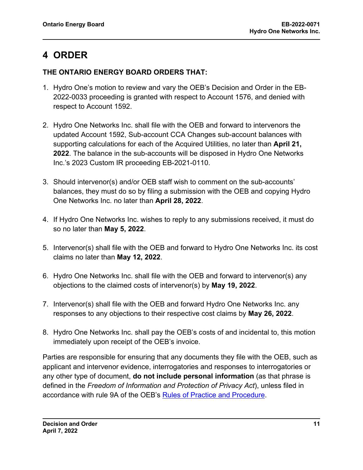# <span id="page-11-0"></span>**4 ORDER**

#### **THE ONTARIO ENERGY BOARD ORDERS THAT:**

- 1. Hydro One's motion to review and vary the OEB's Decision and Order in the EB-2022-0033 proceeding is granted with respect to Account 1576, and denied with respect to Account 1592.
- 2. Hydro One Networks Inc. shall file with the OEB and forward to intervenors the updated Account 1592, Sub-account CCA Changes sub-account balances with supporting calculations for each of the Acquired Utilities, no later than **April 21, 2022**. The balance in the sub-accounts will be disposed in Hydro One Networks Inc.'s 2023 Custom IR proceeding EB-2021-0110.
- 3. Should intervenor(s) and/or OEB staff wish to comment on the sub-accounts' balances, they must do so by filing a submission with the OEB and copying Hydro One Networks Inc. no later than **April 28, 2022**.
- 4. If Hydro One Networks Inc. wishes to reply to any submissions received, it must do so no later than **May 5, 2022**.
- 5. Intervenor(s) shall file with the OEB and forward to Hydro One Networks Inc. its cost claims no later than **May 12, 2022**.
- 6. Hydro One Networks Inc. shall file with the OEB and forward to intervenor(s) any objections to the claimed costs of intervenor(s) by **May 19, 2022**.
- 7. Intervenor(s) shall file with the OEB and forward Hydro One Networks Inc. any responses to any objections to their respective cost claims by **May 26, 2022**.
- 8. Hydro One Networks Inc. shall pay the OEB's costs of and incidental to, this motion immediately upon receipt of the OEB's invoice.

Parties are responsible for ensuring that any documents they file with the OEB, such as applicant and intervenor evidence, interrogatories and responses to interrogatories or any other type of document, **do not include personal information** (as that phrase is defined in the *Freedom of Information and Protection of Privacy Act*), unless filed in accordance with rule 9A of the OEB's [Rules of Practice and Procedure.](https://www.oeb.ca/industry/rules-codes-and-requirements/rules-practice-procedure)